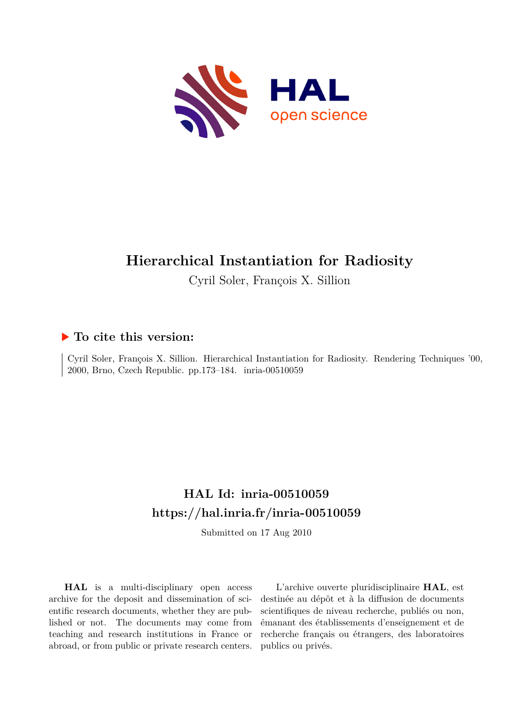

# **Hierarchical Instantiation for Radiosity**

Cyril Soler, François X. Sillion

# **To cite this version:**

Cyril Soler, François X. Sillion. Hierarchical Instantiation for Radiosity. Rendering Techniques '00, 2000, Brno, Czech Republic. pp.173-184. inria-00510059

# **HAL Id: inria-00510059 <https://hal.inria.fr/inria-00510059>**

Submitted on 17 Aug 2010

**HAL** is a multi-disciplinary open access archive for the deposit and dissemination of scientific research documents, whether they are published or not. The documents may come from teaching and research institutions in France or abroad, or from public or private research centers.

L'archive ouverte pluridisciplinaire **HAL**, est destinée au dépôt et à la diffusion de documents scientifiques de niveau recherche, publiés ou non, émanant des établissements d'enseignement et de recherche français ou étrangers, des laboratoires publics ou privés.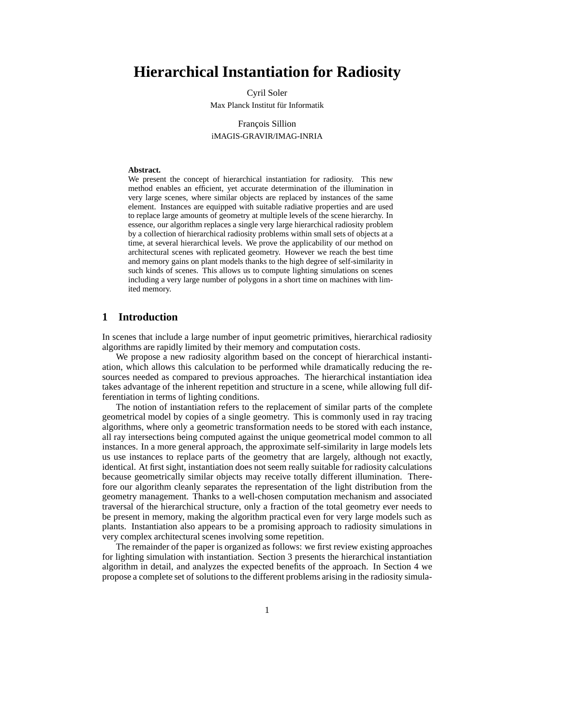# **Hierarchical Instantiation for Radiosity**

Cyril Soler Max Planck Institut für Informatik

François Sillion iMAGIS-GRAVIR/IMAG-INRIA

#### **Abstract.**

We present the concept of hierarchical instantiation for radiosity. This new method enables an efficient, yet accurate determination of the illumination in very large scenes, where similar objects are replaced by instances of the same element. Instances are equipped with suitable radiative properties and are used to replace large amounts of geometry at multiple levels of the scene hierarchy. In essence, our algorithm replaces a single very large hierarchical radiosity problem by a collection of hierarchical radiosity problems within small sets of objects at a time, at several hierarchical levels. We prove the applicability of our method on architectural scenes with replicated geometry. However we reach the best time and memory gains on plant models thanks to the high degree of self-similarity in such kinds of scenes. This allows us to compute lighting simulations on scenes including a very large number of polygons in a short time on machines with limited memory.

## **1 Introduction**

In scenes that include a large number of input geometric primitives, hierarchical radiosity algorithms are rapidly limited by their memory and computation costs.

We propose a new radiosity algorithm based on the concept of hierarchical instantiation, which allows this calculation to be performed while dramatically reducing the resources needed as compared to previous approaches. The hierarchical instantiation idea takes advantage of the inherent repetition and structure in a scene, while allowing full differentiation in terms of lighting conditions.

The notion of instantiation refers to the replacement of similar parts of the complete geometrical model by copies of a single geometry. This is commonly used in ray tracing algorithms, where only a geometric transformation needs to be stored with each instance, all ray intersections being computed against the unique geometrical model common to all instances. In a more general approach, the approximate self-similarity in large models lets us use instances to replace parts of the geometry that are largely, although not exactly, identical. At first sight, instantiation does not seem really suitable for radiosity calculations because geometrically similar objects may receive totally different illumination. Therefore our algorithm cleanly separates the representation of the light distribution from the geometry management. Thanks to a well-chosen computation mechanism and associated traversal of the hierarchical structure, only a fraction of the total geometry ever needs to be present in memory, making the algorithm practical even for very large models such as plants. Instantiation also appears to be a promising approach to radiosity simulations in very complex architectural scenes involving some repetition.

The remainder of the paper is organized as follows: we first review existing approaches for lighting simulation with instantiation. Section 3 presents the hierarchical instantiation algorithm in detail, and analyzes the expected benefits of the approach. In Section 4 we propose a complete set of solutions to the different problems arising in the radiosity simula-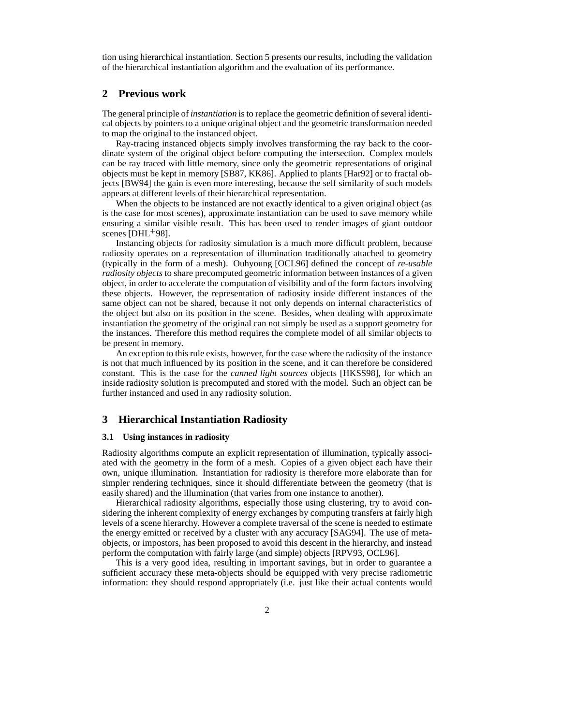tion using hierarchical instantiation. Section 5 presents our results, including the validation of the hierarchical instantiation algorithm and the evaluation of its performance.

### **2 Previous work**

The general principle of *instantiation* is to replace the geometric definition of several identical objects by pointers to a unique original object and the geometric transformation needed to map the original to the instanced object.

Ray-tracing instanced objects simply involves transforming the ray back to the coordinate system of the original object before computing the intersection. Complex models can be ray traced with little memory, since only the geometric representations of original objects must be kept in memory [SB87, KK86]. Applied to plants [Har92] or to fractal objects [BW94] the gain is even more interesting, because the self similarity of such models appears at different levels of their hierarchical representation.

When the objects to be instanced are not exactly identical to a given original object (as is the case for most scenes), approximate instantiation can be used to save memory while ensuring a similar visible result. This has been used to render images of giant outdoor scenes [DHL<sup>+</sup> 98].

Instancing objects for radiosity simulation is a much more difficult problem, because radiosity operates on a representation of illumination traditionally attached to geometry (typically in the form of a mesh). Ouhyoung [OCL96] defined the concept of *re-usable radiosity objects* to share precomputed geometric information between instances of a given object, in order to accelerate the computation of visibility and of the form factors involving these objects. However, the representation of radiosity inside different instances of the same object can not be shared, because it not only depends on internal characteristics of the object but also on its position in the scene. Besides, when dealing with approximate instantiation the geometry of the original can not simply be used as a support geometry for the instances. Therefore this method requires the complete model of all similar objects to be present in memory.

An exception to this rule exists, however, for the case where the radiosity of the instance is not that much influenced by its position in the scene, and it can therefore be considered constant. This is the case for the *canned light sources* objects [HKSS98], for which an inside radiosity solution is precomputed and stored with the model. Such an object can be further instanced and used in any radiosity solution.

#### **3 Hierarchical Instantiation Radiosity**

#### **3.1 Using instances in radiosity**

Radiosity algorithms compute an explicit representation of illumination, typically associated with the geometry in the form of a mesh. Copies of a given object each have their own, unique illumination. Instantiation for radiosity is therefore more elaborate than for simpler rendering techniques, since it should differentiate between the geometry (that is easily shared) and the illumination (that varies from one instance to another).

Hierarchical radiosity algorithms, especially those using clustering, try to avoid considering the inherent complexity of energy exchanges by computing transfers at fairly high levels of a scene hierarchy. However a complete traversal of the scene is needed to estimate the energy emitted or received by a cluster with any accuracy [SAG94]. The use of metaobjects, or impostors, has been proposed to avoid this descent in the hierarchy, and instead perform the computation with fairly large (and simple) objects [RPV93, OCL96].

This is a very good idea, resulting in important savings, but in order to guarantee a sufficient accuracy these meta-objects should be equipped with very precise radiometric information: they should respond appropriately (i.e. just like their actual contents would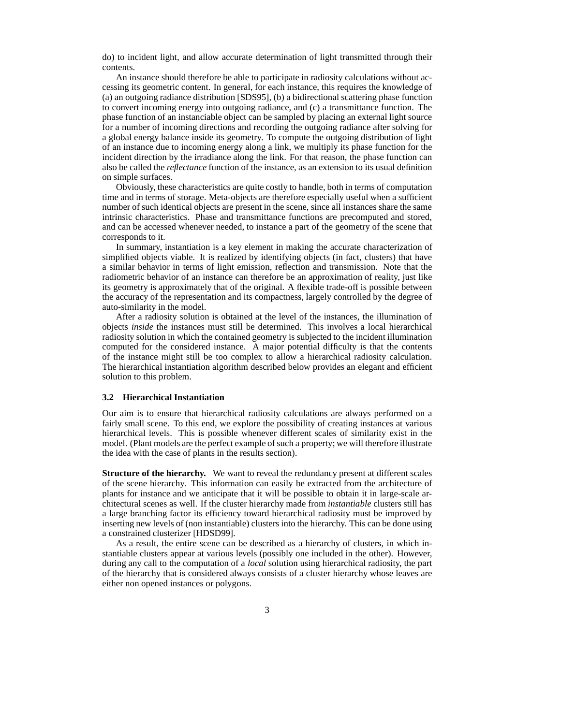do) to incident light, and allow accurate determination of light transmitted through their contents.

An instance should therefore be able to participate in radiosity calculations without accessing its geometric content. In general, for each instance, this requires the knowledge of (a) an outgoing radiance distribution [SDS95], (b) a bidirectional scattering phase function to convert incoming energy into outgoing radiance, and (c) a transmittance function. The phase function of an instanciable object can be sampled by placing an external light source for a number of incoming directions and recording the outgoing radiance after solving for a global energy balance inside its geometry. To compute the outgoing distribution of light of an instance due to incoming energy along a link, we multiply its phase function for the incident direction by the irradiance along the link. For that reason, the phase function can also be called the *reflectance* function of the instance, as an extension to its usual definition on simple surfaces.

Obviously, these characteristics are quite costly to handle, both in terms of computation time and in terms of storage. Meta-objects are therefore especially useful when a sufficient number of such identical objects are present in the scene, since all instances share the same intrinsic characteristics. Phase and transmittance functions are precomputed and stored, and can be accessed whenever needed, to instance a part of the geometry of the scene that corresponds to it.

In summary, instantiation is a key element in making the accurate characterization of simplified objects viable. It is realized by identifying objects (in fact, clusters) that have a similar behavior in terms of light emission, reflection and transmission. Note that the radiometric behavior of an instance can therefore be an approximation of reality, just like its geometry is approximately that of the original. A flexible trade-off is possible between the accuracy of the representation and its compactness, largely controlled by the degree of auto-similarity in the model.

After a radiosity solution is obtained at the level of the instances, the illumination of objects *inside* the instances must still be determined. This involves a local hierarchical radiosity solution in which the contained geometry is subjected to the incident illumination computed for the considered instance. A major potential difficulty is that the contents of the instance might still be too complex to allow a hierarchical radiosity calculation. The hierarchical instantiation algorithm described below provides an elegant and efficient solution to this problem.

#### **3.2 Hierarchical Instantiation**

Our aim is to ensure that hierarchical radiosity calculations are always performed on a fairly small scene. To this end, we explore the possibility of creating instances at various hierarchical levels. This is possible whenever different scales of similarity exist in the model. (Plant models are the perfect example of such a property; we will therefore illustrate the idea with the case of plants in the results section).

**Structure of the hierarchy.** We want to reveal the redundancy present at different scales of the scene hierarchy. This information can easily be extracted from the architecture of plants for instance and we anticipate that it will be possible to obtain it in large-scale architectural scenes as well. If the cluster hierarchy made from *instantiable* clusters still has a large branching factor its efficiency toward hierarchical radiosity must be improved by inserting new levels of (non instantiable) clusters into the hierarchy. This can be done using a constrained clusterizer [HDSD99].

As a result, the entire scene can be described as a hierarchy of clusters, in which instantiable clusters appear at various levels (possibly one included in the other). However, during any call to the computation of a *local* solution using hierarchical radiosity, the part of the hierarchy that is considered always consists of a cluster hierarchy whose leaves are either non opened instances or polygons.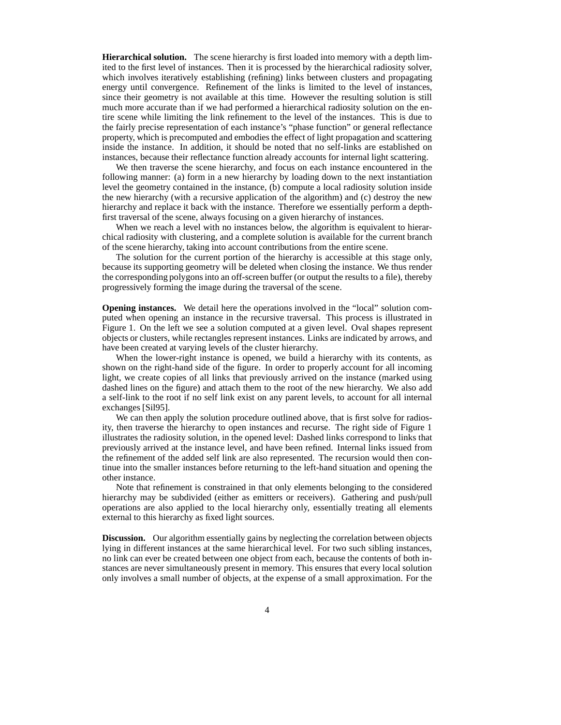**Hierarchical solution.** The scene hierarchy is first loaded into memory with a depth limited to the first level of instances. Then it is processed by the hierarchical radiosity solver, which involves iteratively establishing (refining) links between clusters and propagating energy until convergence. Refinement of the links is limited to the level of instances, since their geometry is not available at this time. However the resulting solution is still much more accurate than if we had performed a hierarchical radiosity solution on the entire scene while limiting the link refinement to the level of the instances. This is due to the fairly precise representation of each instance's "phase function" or general reflectance property, which is precomputed and embodies the effect of light propagation and scattering inside the instance. In addition, it should be noted that no self-links are established on instances, because their reflectance function already accounts for internal light scattering.

We then traverse the scene hierarchy, and focus on each instance encountered in the following manner: (a) form in a new hierarchy by loading down to the next instantiation level the geometry contained in the instance, (b) compute a local radiosity solution inside the new hierarchy (with a recursive application of the algorithm) and (c) destroy the new hierarchy and replace it back with the instance. Therefore we essentially perform a depthfirst traversal of the scene, always focusing on a given hierarchy of instances.

When we reach a level with no instances below, the algorithm is equivalent to hierarchical radiosity with clustering, and a complete solution is available for the current branch of the scene hierarchy, taking into account contributions from the entire scene.

The solution for the current portion of the hierarchy is accessible at this stage only, because its supporting geometry will be deleted when closing the instance. We thus render the corresponding polygons into an off-screen buffer (or output the results to a file), thereby progressively forming the image during the traversal of the scene.

**Opening instances.** We detail here the operations involved in the "local" solution computed when opening an instance in the recursive traversal. This process is illustrated in Figure 1. On the left we see a solution computed at a given level. Oval shapes represent objects or clusters, while rectangles represent instances. Links are indicated by arrows, and have been created at varying levels of the cluster hierarchy.

When the lower-right instance is opened, we build a hierarchy with its contents, as shown on the right-hand side of the figure. In order to properly account for all incoming light, we create copies of all links that previously arrived on the instance (marked using dashed lines on the figure) and attach them to the root of the new hierarchy. We also add a self-link to the root if no self link exist on any parent levels, to account for all internal exchanges [Sil95].

We can then apply the solution procedure outlined above, that is first solve for radiosity, then traverse the hierarchy to open instances and recurse. The right side of Figure 1 illustrates the radiosity solution, in the opened level: Dashed links correspond to links that previously arrived at the instance level, and have been refined. Internal links issued from the refinement of the added self link are also represented. The recursion would then continue into the smaller instances before returning to the left-hand situation and opening the other instance.

Note that refinement is constrained in that only elements belonging to the considered hierarchy may be subdivided (either as emitters or receivers). Gathering and push/pull operations are also applied to the local hierarchy only, essentially treating all elements external to this hierarchy as fixed light sources.

**Discussion.** Our algorithm essentially gains by neglecting the correlation between objects lying in different instances at the same hierarchical level. For two such sibling instances, no link can ever be created between one object from each, because the contents of both instances are never simultaneously present in memory. This ensures that every local solution only involves a small number of objects, at the expense of a small approximation. For the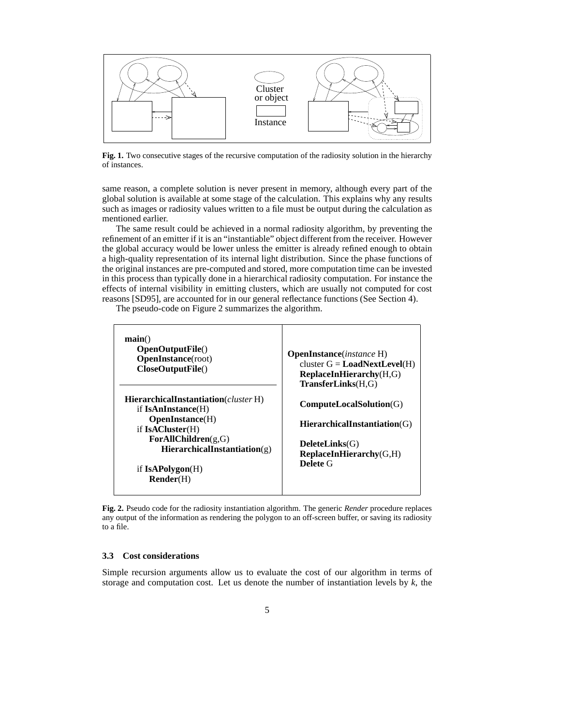

**Fig. 1.** Two consecutive stages of the recursive computation of the radiosity solution in the hierarchy of instances.

same reason, a complete solution is never present in memory, although every part of the global solution is available at some stage of the calculation. This explains why any results such as images or radiosity values written to a file must be output during the calculation as mentioned earlier.

The same result could be achieved in a normal radiosity algorithm, by preventing the refinement of an emitter if it is an "instantiable" object different from the receiver. However the global accuracy would be lower unless the emitter is already refined enough to obtain a high-quality representation of its internal light distribution. Since the phase functions of the original instances are pre-computed and stored, more computation time can be invested in this process than typically done in a hierarchical radiosity computation. For instance the effects of internal visibility in emitting clusters, which are usually not computed for cost reasons [SD95], are accounted for in our general reflectance functions (See Section 4).

The pseudo-code on Figure 2 summarizes the algorithm.

| $\mathbf{main}()$<br><b>OpenOutputFile</b> ()<br><b>OpenInstance</b> (root)<br>CloseOutputFile()         | <b>OpenInstance</b> ( <i>instance</i> H)<br>cluster $G = \text{LoadNextLevel}(H)$<br>$\bf Replace In Hierarchy(H,G)$<br>TransferLinks(H,G) |
|----------------------------------------------------------------------------------------------------------|--------------------------------------------------------------------------------------------------------------------------------------------|
| <b>HierarchicalInstantiation</b> ( <i>cluster</i> H)<br>if IsAnInstance(H)                               | ComputeLocalSolution(G)                                                                                                                    |
| OpenInstance(H)<br>if IsACluster(H)                                                                      | $\mathbf{Hierarchical Instantiation}(G)$                                                                                                   |
| $\mathbf{For All Children}(\mathbf{g}, \mathbf{G})$<br>$\textbf{Hierarchical Instantiation}(\textbf{g})$ | $\bf{DeleteLinks}(G)$<br>$\bf Replace In Hierarchy(G,H)$                                                                                   |
| if $IsAPolygon(H)$<br>Render(H)                                                                          | Delete G                                                                                                                                   |

**Fig. 2.** Pseudo code for the radiosity instantiation algorithm. The generic *Render* procedure replaces any output of the information as rendering the polygon to an off-screen buffer, or saving its radiosity to a file.

#### **3.3 Cost considerations**

Simple recursion arguments allow us to evaluate the cost of our algorithm in terms of storage and computation cost. Let us denote the number of instantiation levels by *k*, the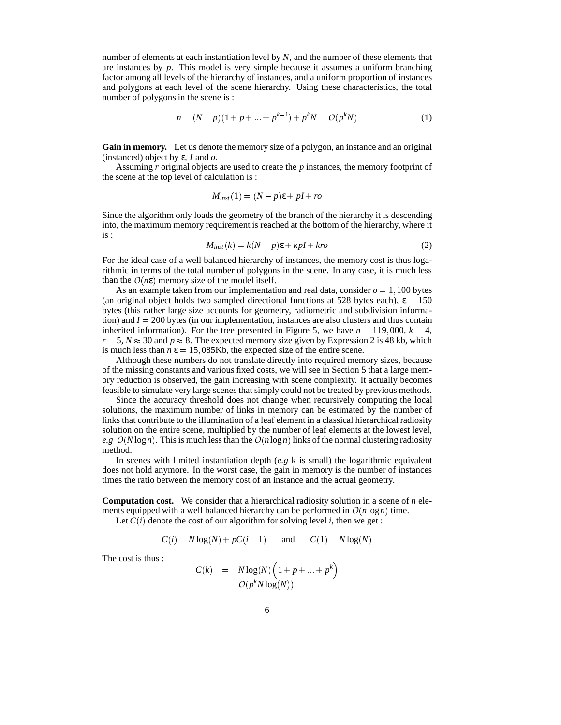number of elements at each instantiation level by *N*, and the number of these elements that are instances by *p*. This model is very simple because it assumes a uniform branching factor among all levels of the hierarchy of instances, and a uniform proportion of instances and polygons at each level of the scene hierarchy. Using these characteristics, the total number of polygons in the scene is :

$$
n = (N - p)(1 + p + \dots + p^{k-1}) + p^k N = O(p^k N)
$$
 (1)

**Gain in memory.** Let us denote the memory size of a polygon, an instance and an original (instanced) object by ε, *I* and *o*.

Assuming *r* original objects are used to create the *p* instances, the memory footprint of the scene at the top level of calculation is :

$$
M_{inst}(1) = (N-p)\varepsilon + pI + ro
$$

Since the algorithm only loads the geometry of the branch of the hierarchy it is descending into, the maximum memory requirement is reached at the bottom of the hierarchy, where it is :

$$
M_{inst}(k) = k(N - p)\varepsilon + kpI + kro
$$
 (2)

For the ideal case of a well balanced hierarchy of instances, the memory cost is thus logarithmic in terms of the total number of polygons in the scene. In any case, it is much less than the  $O(n\varepsilon)$  memory size of the model itself.

As an example taken from our implementation and real data, consider  $o = 1,100$  bytes (an original object holds two sampled directional functions at 528 bytes each),  $\varepsilon = 150$ bytes (this rather large size accounts for geometry, radiometric and subdivision information) and  $I = 200$  bytes (in our implementation, instances are also clusters and thus contain inherited information). For the tree presented in Figure 5, we have  $n = 119,000$ ,  $k = 4$ ,  $r = 5$ ,  $N \approx 30$  and  $p \approx 8$ . The expected memory size given by Expression 2 is 48 kb, which is much less than  $n \epsilon = 15,085\text{Kb}$ , the expected size of the entire scene.

Although these numbers do not translate directly into required memory sizes, because of the missing constants and various fixed costs, we will see in Section 5 that a large memory reduction is observed, the gain increasing with scene complexity. It actually becomes feasible to simulate very large scenes that simply could not be treated by previous methods.

Since the accuracy threshold does not change when recursively computing the local solutions, the maximum number of links in memory can be estimated by the number of links that contribute to the illumination of a leaf element in a classical hierarchical radiosity solution on the entire scene, multiplied by the number of leaf elements at the lowest level, *e.g*  $O(N \log n)$ . This is much less than the  $O(n \log n)$  links of the normal clustering radiosity method.

In scenes with limited instantiation depth (*e.g* k is small) the logarithmic equivalent does not hold anymore. In the worst case, the gain in memory is the number of instances times the ratio between the memory cost of an instance and the actual geometry.

**Computation cost.** We consider that a hierarchical radiosity solution in a scene of *n* elements equipped with a well balanced hierarchy can be performed in  $O(n \log n)$  time.

Let  $C(i)$  denote the cost of our algorithm for solving level *i*, then we get :

$$
C(i) = N \log(N) + pC(i-1) \quad \text{and} \quad C(1) = N \log(N)
$$

The cost is thus :

$$
C(k) = N \log(N) \left( 1 + p + \dots + p^k \right)
$$
  
=  $O(p^k N \log(N))$ 

 $\overline{\phantom{a}}$ 

 $\sim$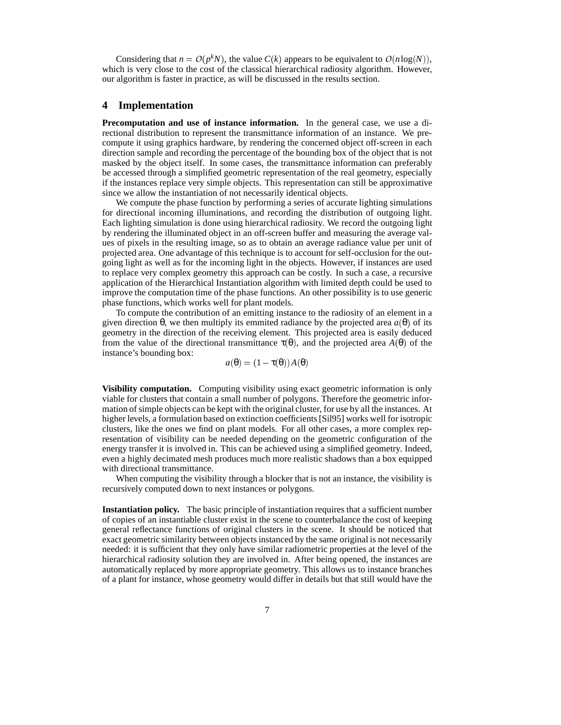Considering that  $n = O(p^kN)$ , the value  $C(k)$  appears to be equivalent to  $O(n \log(N))$ , which is very close to the cost of the classical hierarchical radiosity algorithm. However, our algorithm is faster in practice, as will be discussed in the results section.

## **4 Implementation**

**Precomputation and use of instance information.** In the general case, we use a directional distribution to represent the transmittance information of an instance. We precompute it using graphics hardware, by rendering the concerned object off-screen in each direction sample and recording the percentage of the bounding box of the object that is not masked by the object itself. In some cases, the transmittance information can preferably be accessed through a simplified geometric representation of the real geometry, especially if the instances replace very simple objects. This representation can still be approximative since we allow the instantiation of not necessarily identical objects.

We compute the phase function by performing a series of accurate lighting simulations for directional incoming illuminations, and recording the distribution of outgoing light. Each lighting simulation is done using hierarchical radiosity. We record the outgoing light by rendering the illuminated object in an off-screen buffer and measuring the average values of pixels in the resulting image, so as to obtain an average radiance value per unit of projected area. One advantage of this technique is to account for self-occlusion for the outgoing light as well as for the incoming light in the objects. However, if instances are used to replace very complex geometry this approach can be costly. In such a case, a recursive application of the Hierarchical Instantiation algorithm with limited depth could be used to improve the computation time of the phase functions. An other possibility is to use generic phase functions, which works well for plant models.

To compute the contribution of an emitting instance to the radiosity of an element in a given direction  $\theta$ , we then multiply its emmited radiance by the projected area  $a(\theta)$  of its geometry in the direction of the receiving element. This projected area is easily deduced from the value of the directional transmittance τ(θ), and the projected area *A*(θ) of the instance's bounding box:

$$
a(\theta) = (1 - \tau(\theta))A(\theta)
$$

**Visibility computation.** Computing visibility using exact geometric information is only viable for clusters that contain a small number of polygons. Therefore the geometric information of simple objects can be kept with the original cluster, for use by all the instances. At higher levels, a formulation based on extinction coefficients [Sil95] works well for isotropic clusters, like the ones we find on plant models. For all other cases, a more complex representation of visibility can be needed depending on the geometric configuration of the energy transfer it is involved in. This can be achieved using a simplified geometry. Indeed, even a highly decimated mesh produces much more realistic shadows than a box equipped with directional transmittance.

When computing the visibility through a blocker that is not an instance, the visibility is recursively computed down to next instances or polygons.

**Instantiation policy.** The basic principle of instantiation requires that a sufficient number of copies of an instantiable cluster exist in the scene to counterbalance the cost of keeping general reflectance functions of original clusters in the scene. It should be noticed that exact geometric similarity between objects instanced by the same original is not necessarily needed: it is sufficient that they only have similar radiometric properties at the level of the hierarchical radiosity solution they are involved in. After being opened, the instances are automatically replaced by more appropriate geometry. This allows us to instance branches of a plant for instance, whose geometry would differ in details but that still would have the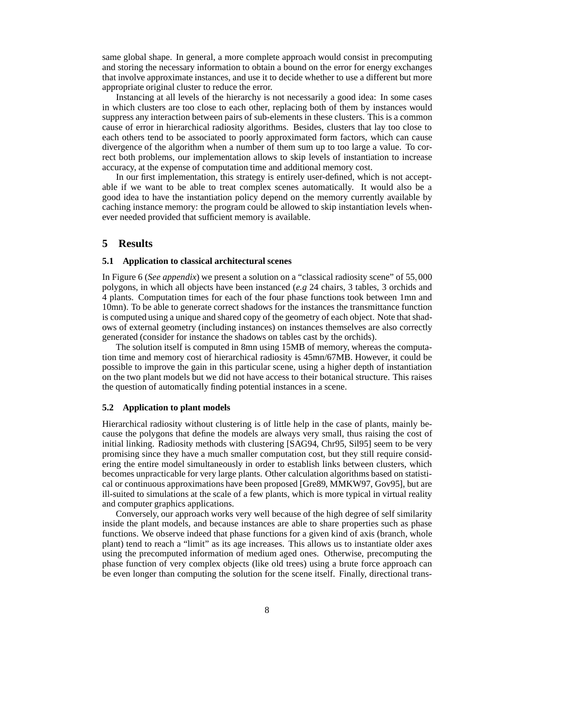same global shape. In general, a more complete approach would consist in precomputing and storing the necessary information to obtain a bound on the error for energy exchanges that involve approximate instances, and use it to decide whether to use a different but more appropriate original cluster to reduce the error.

Instancing at all levels of the hierarchy is not necessarily a good idea: In some cases in which clusters are too close to each other, replacing both of them by instances would suppress any interaction between pairs of sub-elements in these clusters. This is a common cause of error in hierarchical radiosity algorithms. Besides, clusters that lay too close to each others tend to be associated to poorly approximated form factors, which can cause divergence of the algorithm when a number of them sum up to too large a value. To correct both problems, our implementation allows to skip levels of instantiation to increase accuracy, at the expense of computation time and additional memory cost.

In our first implementation, this strategy is entirely user-defined, which is not acceptable if we want to be able to treat complex scenes automatically. It would also be a good idea to have the instantiation policy depend on the memory currently available by caching instance memory: the program could be allowed to skip instantiation levels whenever needed provided that sufficient memory is available.

### **5 Results**

#### **5.1 Application to classical architectural scenes**

In Figure 6 (*See appendix*) we present a solution on a "classical radiosity scene" of 55; 000 polygons, in which all objects have been instanced (*e.g* 24 chairs, 3 tables, 3 orchids and 4 plants. Computation times for each of the four phase functions took between 1mn and 10mn). To be able to generate correct shadows for the instances the transmittance function is computed using a unique and shared copy of the geometry of each object. Note that shadows of external geometry (including instances) on instances themselves are also correctly generated (consider for instance the shadows on tables cast by the orchids).

The solution itself is computed in 8mn using 15MB of memory, whereas the computation time and memory cost of hierarchical radiosity is 45mn/67MB. However, it could be possible to improve the gain in this particular scene, using a higher depth of instantiation on the two plant models but we did not have access to their botanical structure. This raises the question of automatically finding potential instances in a scene.

#### **5.2 Application to plant models**

Hierarchical radiosity without clustering is of little help in the case of plants, mainly because the polygons that define the models are always very small, thus raising the cost of initial linking. Radiosity methods with clustering [SAG94, Chr95, Sil95] seem to be very promising since they have a much smaller computation cost, but they still require considering the entire model simultaneously in order to establish links between clusters, which becomes unpracticable for very large plants. Other calculation algorithms based on statistical or continuous approximations have been proposed [Gre89, MMKW97, Gov95], but are ill-suited to simulations at the scale of a few plants, which is more typical in virtual reality and computer graphics applications.

Conversely, our approach works very well because of the high degree of self similarity inside the plant models, and because instances are able to share properties such as phase functions. We observe indeed that phase functions for a given kind of axis (branch, whole plant) tend to reach a "limit" as its age increases. This allows us to instantiate older axes using the precomputed information of medium aged ones. Otherwise, precomputing the phase function of very complex objects (like old trees) using a brute force approach can be even longer than computing the solution for the scene itself. Finally, directional trans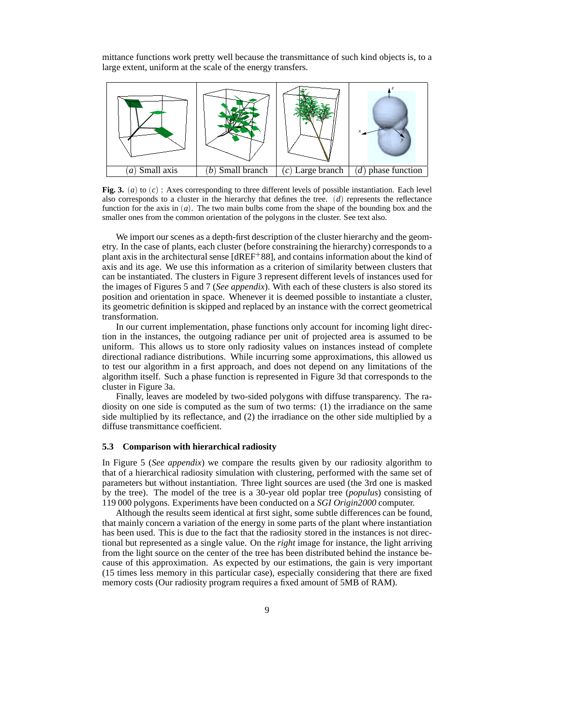mittance functions work pretty well because the transmittance of such kind objects is, to a large extent, uniform at the scale of the energy transfers.



**Fig. 3.** (*a*) to (*c*) : Axes corresponding to three different levels of possible instantiation. Each level also corresponds to a cluster in the hierarchy that defines the tree. (*d*) represents the reflectance function for the axis in (*a*). The two main bulbs come from the shape of the bounding box and the smaller ones from the common orientation of the polygons in the cluster. See text also.

We import our scenes as a depth-first description of the cluster hierarchy and the geometry. In the case of plants, each cluster (before constraining the hierarchy) corresponds to a plant axis in the architectural sense [dREF<sup>+</sup>88], and contains information about the kind of axis and its age. We use this information as a criterion of similarity between clusters that can be instantiated. The clusters in Figure 3 represent different levels of instances used for the images of Figures 5 and 7 (*See appendix*). With each of these clusters is also stored its position and orientation in space. Whenever it is deemed possible to instantiate a cluster, its geometric definition is skipped and replaced by an instance with the correct geometrical transformation.

In our current implementation, phase functions only account for incoming light direction in the instances, the outgoing radiance per unit of projected area is assumed to be uniform. This allows us to store only radiosity values on instances instead of complete directional radiance distributions. While incurring some approximations, this allowed us to test our algorithm in a first approach, and does not depend on any limitations of the algorithm itself. Such a phase function is represented in Figure 3d that corresponds to the cluster in Figure 3a.

Finally, leaves are modeled by two-sided polygons with diffuse transparency. The radiosity on one side is computed as the sum of two terms: (1) the irradiance on the same side multiplied by its reflectance, and (2) the irradiance on the other side multiplied by a diffuse transmittance coefficient.

#### **5.3 Comparison with hierarchical radiosity**

In Figure 5 (*See appendix*) we compare the results given by our radiosity algorithm to that of a hierarchical radiosity simulation with clustering, performed with the same set of parameters but without instantiation. Three light sources are used (the 3rd one is masked by the tree). The model of the tree is a 30-year old poplar tree (*populus*) consisting of 119 000 polygons. Experiments have been conducted on a *SGI Origin2000* computer.

Although the results seem identical at first sight, some subtle differences can be found, that mainly concern a variation of the energy in some parts of the plant where instantiation has been used. This is due to the fact that the radiosity stored in the instances is not directional but represented as a single value. On the *right* image for instance, the light arriving from the light source on the center of the tree has been distributed behind the instance because of this approximation. As expected by our estimations, the gain is very important (15 times less memory in this particular case), especially considering that there are fixed memory costs (Our radiosity program requires a fixed amount of 5MB of RAM).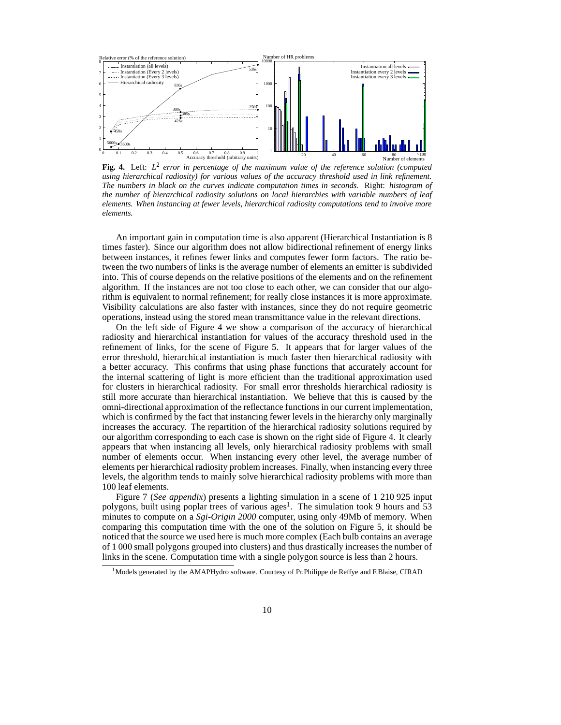

**Fig. 4.** Left: *L* 2 *error in percentage of the maximum value of the reference solution (computed using hierarchical radiosity) for various values of the accuracy threshold used in link refinement. The numbers in black on the curves indicate computation times in seconds.* Right: *histogram of the number of hierarchical radiosity solutions on local hierarchies with variable numbers of leaf elements. When instancing at fewer levels, hierarchical radiosity computations tend to involve more elements.*

An important gain in computation time is also apparent (Hierarchical Instantiation is 8 times faster). Since our algorithm does not allow bidirectional refinement of energy links between instances, it refines fewer links and computes fewer form factors. The ratio between the two numbers of links is the average number of elements an emitter is subdivided into. This of course depends on the relative positions of the elements and on the refinement algorithm. If the instances are not too close to each other, we can consider that our algorithm is equivalent to normal refinement; for really close instances it is more approximate. Visibility calculations are also faster with instances, since they do not require geometric operations, instead using the stored mean transmittance value in the relevant directions.

On the left side of Figure 4 we show a comparison of the accuracy of hierarchical radiosity and hierarchical instantiation for values of the accuracy threshold used in the refinement of links, for the scene of Figure 5. It appears that for larger values of the error threshold, hierarchical instantiation is much faster then hierarchical radiosity with a better accuracy. This confirms that using phase functions that accurately account for the internal scattering of light is more efficient than the traditional approximation used for clusters in hierarchical radiosity. For small error thresholds hierarchical radiosity is still more accurate than hierarchical instantiation. We believe that this is caused by the omni-directional approximation of the reflectance functions in our current implementation, which is confirmed by the fact that instancing fewer levels in the hierarchy only marginally increases the accuracy. The repartition of the hierarchical radiosity solutions required by our algorithm corresponding to each case is shown on the right side of Figure 4. It clearly appears that when instancing all levels, only hierarchical radiosity problems with small number of elements occur. When instancing every other level, the average number of elements per hierarchical radiosity problem increases. Finally, when instancing every three levels, the algorithm tends to mainly solve hierarchical radiosity problems with more than 100 leaf elements.

Figure 7 (*See appendix*) presents a lighting simulation in a scene of 1 210 925 input polygons, built using poplar trees of various ages<sup>1</sup>. The simulation took 9 hours and 53 minutes to compute on a *Sgi-Origin 2000* computer, using only 49Mb of memory. When comparing this computation time with the one of the solution on Figure 5, it should be noticed that the source we used here is much more complex (Each bulb contains an average of 1 000 small polygons grouped into clusters) and thus drastically increases the number of links in the scene. Computation time with a single polygon source is less than 2 hours.

<sup>&</sup>lt;sup>1</sup>Models generated by the AMAPHydro software. Courtesy of Pr.Philippe de Reffye and F.Blaise, CIRAD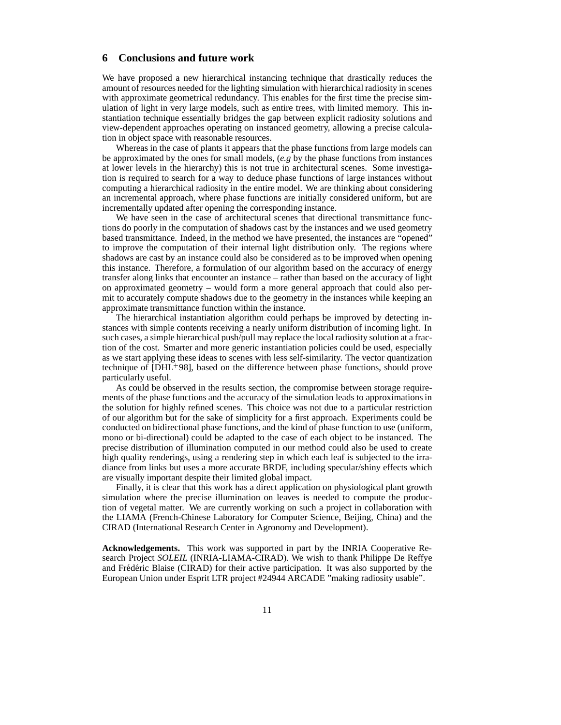## **6 Conclusions and future work**

We have proposed a new hierarchical instancing technique that drastically reduces the amount of resources needed for the lighting simulation with hierarchical radiosity in scenes with approximate geometrical redundancy. This enables for the first time the precise simulation of light in very large models, such as entire trees, with limited memory. This instantiation technique essentially bridges the gap between explicit radiosity solutions and view-dependent approaches operating on instanced geometry, allowing a precise calculation in object space with reasonable resources.

Whereas in the case of plants it appears that the phase functions from large models can be approximated by the ones for small models, (*e.g* by the phase functions from instances at lower levels in the hierarchy) this is not true in architectural scenes. Some investigation is required to search for a way to deduce phase functions of large instances without computing a hierarchical radiosity in the entire model. We are thinking about considering an incremental approach, where phase functions are initially considered uniform, but are incrementally updated after opening the corresponding instance.

We have seen in the case of architectural scenes that directional transmittance functions do poorly in the computation of shadows cast by the instances and we used geometry based transmittance. Indeed, in the method we have presented, the instances are "opened" to improve the computation of their internal light distribution only. The regions where shadows are cast by an instance could also be considered as to be improved when opening this instance. Therefore, a formulation of our algorithm based on the accuracy of energy transfer along links that encounter an instance – rather than based on the accuracy of light on approximated geometry – would form a more general approach that could also permit to accurately compute shadows due to the geometry in the instances while keeping an approximate transmittance function within the instance.

The hierarchical instantiation algorithm could perhaps be improved by detecting instances with simple contents receiving a nearly uniform distribution of incoming light. In such cases, a simple hierarchical push/pull may replace the local radiosity solution at a fraction of the cost. Smarter and more generic instantiation policies could be used, especially as we start applying these ideas to scenes with less self-similarity. The vector quantization technique of [DHL<sup>+</sup> 98], based on the difference between phase functions, should prove particularly useful.

As could be observed in the results section, the compromise between storage requirements of the phase functions and the accuracy of the simulation leads to approximations in the solution for highly refined scenes. This choice was not due to a particular restriction of our algorithm but for the sake of simplicity for a first approach. Experiments could be conducted on bidirectional phase functions, and the kind of phase function to use (uniform, mono or bi-directional) could be adapted to the case of each object to be instanced. The precise distribution of illumination computed in our method could also be used to create high quality renderings, using a rendering step in which each leaf is subjected to the irradiance from links but uses a more accurate BRDF, including specular/shiny effects which are visually important despite their limited global impact.

Finally, it is clear that this work has a direct application on physiological plant growth simulation where the precise illumination on leaves is needed to compute the production of vegetal matter. We are currently working on such a project in collaboration with the LIAMA (French-Chinese Laboratory for Computer Science, Beijing, China) and the CIRAD (International Research Center in Agronomy and Development).

**Acknowledgements.** This work was supported in part by the INRIA Cooperative Research Project *SOLEIL* (INRIA-LIAMA-CIRAD). We wish to thank Philippe De Reffye and Frédéric Blaise (CIRAD) for their active participation. It was also supported by the European Union under Esprit LTR project #24944 ARCADE "making radiosity usable".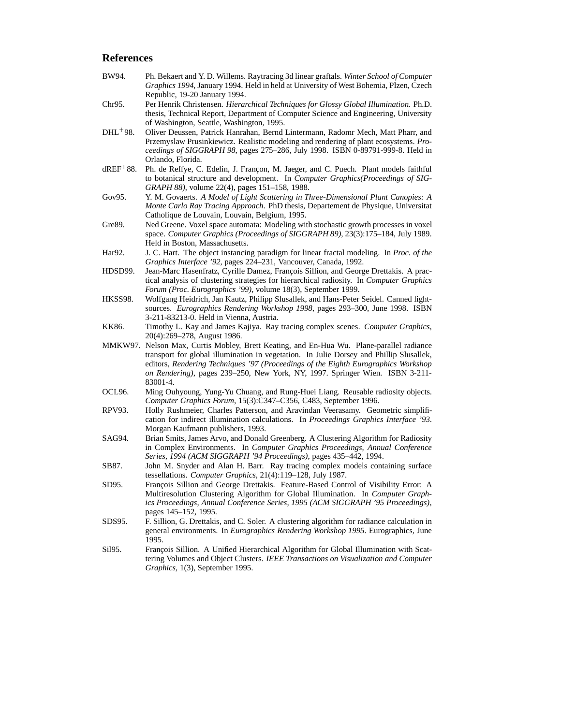# **References**

| BW94.               | Ph. Bekaert and Y. D. Willems. Raytracing 3d linear graftals. Winter School of Computer<br>Graphics 1994, January 1994. Held in held at University of West Bohemia, Plzen, Czech                                                                                                                                                                                      |
|---------------------|-----------------------------------------------------------------------------------------------------------------------------------------------------------------------------------------------------------------------------------------------------------------------------------------------------------------------------------------------------------------------|
| Chr95.              | Republic, 19-20 January 1994.<br>Per Henrik Christensen. Hierarchical Techniques for Glossy Global Illumination. Ph.D.<br>thesis, Technical Report, Department of Computer Science and Engineering, University<br>of Washington, Seattle, Washington, 1995.                                                                                                           |
| DHL+98.             | Oliver Deussen, Patrick Hanrahan, Bernd Lintermann, Radomr Mech, Matt Pharr, and<br>Przemyslaw Prusinkiewicz. Realistic modeling and rendering of plant ecosystems. Pro-<br>ceedings of SIGGRAPH 98, pages 275–286, July 1998. ISBN 0-89791-999-8. Held in<br>Orlando, Florida.                                                                                       |
| $dREF+88.$          | Ph. de Reffye, C. Edelin, J. Françon, M. Jaeger, and C. Puech. Plant models faithful<br>to botanical structure and development. In Computer Graphics (Proceedings of SIG-<br>GRAPH 88), volume 22(4), pages 151–158, 1988.                                                                                                                                            |
| Gov95.              | Y. M. Govaerts. A Model of Light Scattering in Three-Dimensional Plant Canopies: A<br>Monte Carlo Ray Tracing Approach. PhD thesis, Departement de Physique, Universitat<br>Catholique de Louvain, Louvain, Belgium, 1995.                                                                                                                                            |
| Gre <sub>89</sub> . | Ned Greene. Voxel space automata: Modeling with stochastic growth processes in voxel<br>space. Computer Graphics (Proceedings of SIGGRAPH 89), 23(3):175-184, July 1989.<br>Held in Boston, Massachusetts.                                                                                                                                                            |
| Har92.              | J. C. Hart. The object instancing paradigm for linear fractal modeling. In Proc. of the<br>Graphics Interface '92, pages 224-231, Vancouver, Canada, 1992.                                                                                                                                                                                                            |
| HDSD99.             | Jean-Marc Hasenfratz, Cyrille Damez, François Sillion, and George Drettakis. A prac-<br>tical analysis of clustering strategies for hierarchical radiosity. In Computer Graphics<br>Forum (Proc. Eurographics '99), volume 18(3), September 1999.                                                                                                                     |
| HKSS98.             | Wolfgang Heidrich, Jan Kautz, Philipp Slusallek, and Hans-Peter Seidel. Canned light-<br>sources. Eurographics Rendering Workshop 1998, pages 293-300, June 1998. ISBN<br>3-211-83213-0. Held in Vienna, Austria.                                                                                                                                                     |
| KK86.               | Timothy L. Kay and James Kajiya. Ray tracing complex scenes. Computer Graphics,<br>20(4):269-278, August 1986.                                                                                                                                                                                                                                                        |
|                     | MMKW97. Nelson Max, Curtis Mobley, Brett Keating, and En-Hua Wu. Plane-parallel radiance<br>transport for global illumination in vegetation. In Julie Dorsey and Phillip Slusallek,<br>editors, Rendering Techniques '97 (Proceedings of the Eighth Eurographics Workshop<br>on Rendering), pages 239–250, New York, NY, 1997. Springer Wien. ISBN 3-211-<br>83001-4. |
| OCL96.              | Ming Ouhyoung, Yung-Yu Chuang, and Rung-Huei Liang. Reusable radiosity objects.<br>Computer Graphics Forum, 15(3):C347-C356, C483, September 1996.                                                                                                                                                                                                                    |
| RPV93.              | Holly Rushmeier, Charles Patterson, and Aravindan Veerasamy. Geometric simplifi-<br>cation for indirect illumination calculations. In Proceedings Graphics Interface '93.<br>Morgan Kaufmann publishers, 1993.                                                                                                                                                        |
| SAG94.              | Brian Smits, James Arvo, and Donald Greenberg. A Clustering Algorithm for Radiosity<br>in Complex Environments. In Computer Graphics Proceedings, Annual Conference<br>Series, 1994 (ACM SIGGRAPH '94 Proceedings), pages 435-442, 1994.                                                                                                                              |
| SB87.               | John M. Snyder and Alan H. Barr. Ray tracing complex models containing surface<br>tessellations. Computer Graphics, 21(4):119-128, July 1987.                                                                                                                                                                                                                         |
| SD95.               | François Sillion and George Drettakis. Feature-Based Control of Visibility Error: A<br>Multiresolution Clustering Algorithm for Global Illumination. In Computer Graph-<br>ics Proceedings, Annual Conference Series, 1995 (ACM SIGGRAPH '95 Proceedings),<br>pages 145-152, 1995.                                                                                    |
| SDS95.              | F. Sillion, G. Drettakis, and C. Soler. A clustering algorithm for radiance calculation in<br>general environments. In Eurographics Rendering Workshop 1995. Eurographics, June<br>1995.                                                                                                                                                                              |
| Sil95.              | François Sillion. A Unified Hierarchical Algorithm for Global Illumination with Scat-<br>tering Volumes and Object Clusters. IEEE Transactions on Visualization and Computer<br>Graphics, 1(3), September 1995.                                                                                                                                                       |